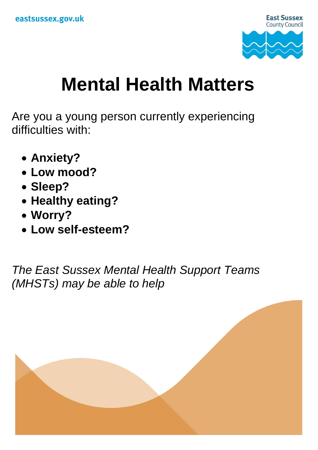

## **Mental Health Matters**

Are you a young person currently experiencing difficulties with:

- **Anxiety?**
- **Low mood?**
- **Sleep?**
- **Healthy eating?**
- **Worry?**
- **Low self-esteem?**

*The East Sussex Mental Health Support Teams (MHSTs) may be able to help*